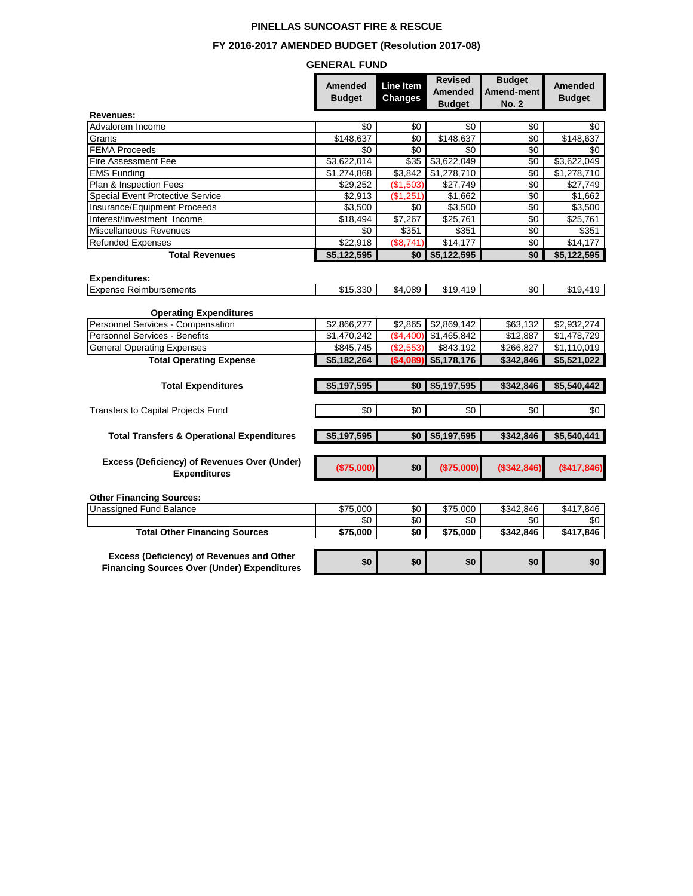## **PINELLAS SUNCOAST FIRE & RESCUE**

# **FY 2016-2017 AMENDED BUDGET (Resolution 2017-08)**

## **GENERAL FUND**

|                                                                                                 | <b>Amended</b><br><b>Budget</b> | Line Item<br><b>Changes</b> | <b>Revised</b><br><b>Amended</b><br><b>Budget</b> | <b>Budget</b><br><b>Amend-ment</b><br><b>No. 2</b> | <b>Amended</b><br><b>Budget</b> |
|-------------------------------------------------------------------------------------------------|---------------------------------|-----------------------------|---------------------------------------------------|----------------------------------------------------|---------------------------------|
| Revenues:                                                                                       |                                 |                             |                                                   |                                                    |                                 |
| Advalorem Income                                                                                | \$0                             | \$0                         | \$0                                               | \$0                                                | \$0                             |
| Grants                                                                                          | \$148,637                       | \$0                         | \$148,637                                         | \$0                                                | \$148,637                       |
| <b>FEMA Proceeds</b>                                                                            | \$0                             | \$0                         | \$0                                               | \$0                                                | \$0                             |
| <b>Fire Assessment Fee</b>                                                                      | \$3,622,014                     | \$35                        | \$3,622,049                                       | \$0                                                | \$3,622,049                     |
| <b>EMS Funding</b>                                                                              | \$1,274,868                     | \$3,842                     | \$1,278,710                                       | \$0                                                | \$1,278,710                     |
| Plan & Inspection Fees                                                                          | \$29,252                        | (\$1.503)                   | \$27,749                                          | \$0                                                | \$27,749                        |
| <b>Special Event Protective Service</b>                                                         | \$2,913                         | (\$1,251)                   | \$1,662                                           | \$0                                                | \$1,662                         |
| Insurance/Equipment Proceeds                                                                    | \$3,500                         | \$0                         | \$3,500                                           | \$0                                                | \$3,500                         |
| Interest/Investment Income                                                                      | \$18,494                        | \$7,267                     | \$25,761                                          | $\sqrt{6}$                                         | \$25,761                        |
| Miscellaneous Revenues                                                                          | \$0                             | \$351                       | \$351                                             | \$0                                                | \$351                           |
| <b>Refunded Expenses</b>                                                                        | \$22,918                        | (\$8,741)                   | \$14,177                                          | \$0                                                | \$14,177                        |
| <b>Total Revenues</b>                                                                           | \$5,122,595                     | \$0 I                       | \$5,122,595                                       | \$0                                                | \$5,122,595                     |
| <b>Expenditures:</b>                                                                            |                                 |                             |                                                   |                                                    |                                 |
| <b>Expense Reimbursements</b>                                                                   | \$15,330                        | \$4,089                     | \$19,419                                          | \$0                                                | \$19,419                        |
| <b>Operating Expenditures</b>                                                                   |                                 |                             |                                                   |                                                    |                                 |
| Personnel Services - Compensation                                                               | \$2,866,277                     | \$2,865                     | \$2,869,142                                       | \$63,132                                           | \$2,932,274                     |
| Personnel Services - Benefits                                                                   | \$1,470,242                     | (\$4,400)                   | \$1,465,842                                       | \$12,887                                           | \$1,478,729                     |
| <b>General Operating Expenses</b>                                                               | \$845,745                       | (\$2,553)                   | \$843,192                                         | \$266,827                                          | \$1,110,019                     |
| <b>Total Operating Expense</b>                                                                  | \$5,182,264                     | (\$4,089                    | \$5,178,176                                       | \$342,846                                          | \$5,521,022                     |
|                                                                                                 |                                 |                             |                                                   |                                                    |                                 |
| <b>Total Expenditures</b>                                                                       | \$5,197,595                     | \$0                         | \$5,197,595                                       | \$342,846                                          | \$5,540,442                     |
| Transfers to Capital Projects Fund                                                              | \$0                             | \$0                         | \$0                                               | \$0                                                | \$0                             |
|                                                                                                 |                                 |                             |                                                   |                                                    |                                 |
| <b>Total Transfers &amp; Operational Expenditures</b>                                           | \$5,197,595                     | \$0                         | \$5,197,595                                       | \$342,846                                          | \$5,540,441                     |
|                                                                                                 |                                 |                             |                                                   |                                                    |                                 |
| Excess (Deficiency) of Revenues Over (Under)<br><b>Expenditures</b>                             | (\$75,000)                      | \$0                         | (\$75,000)                                        | (\$342,846)                                        | (\$417,846)                     |
| <b>Other Financing Sources:</b>                                                                 |                                 |                             |                                                   |                                                    |                                 |
| <b>Unassigned Fund Balance</b>                                                                  | \$75,000                        | \$0                         | \$75,000                                          | \$342,846                                          | \$417,846                       |
|                                                                                                 | \$0                             | \$0                         | \$0                                               | \$0                                                | \$0                             |
| <b>Total Other Financing Sources</b>                                                            | \$75,000                        | \$0                         | \$75,000                                          | \$342,846                                          | \$417,846                       |
| Excess (Deficiency) of Revenues and Other<br><b>Financing Sources Over (Under) Expenditures</b> | \$0                             | \$0                         | \$0                                               | \$0                                                | \$0                             |
|                                                                                                 |                                 |                             |                                                   |                                                    |                                 |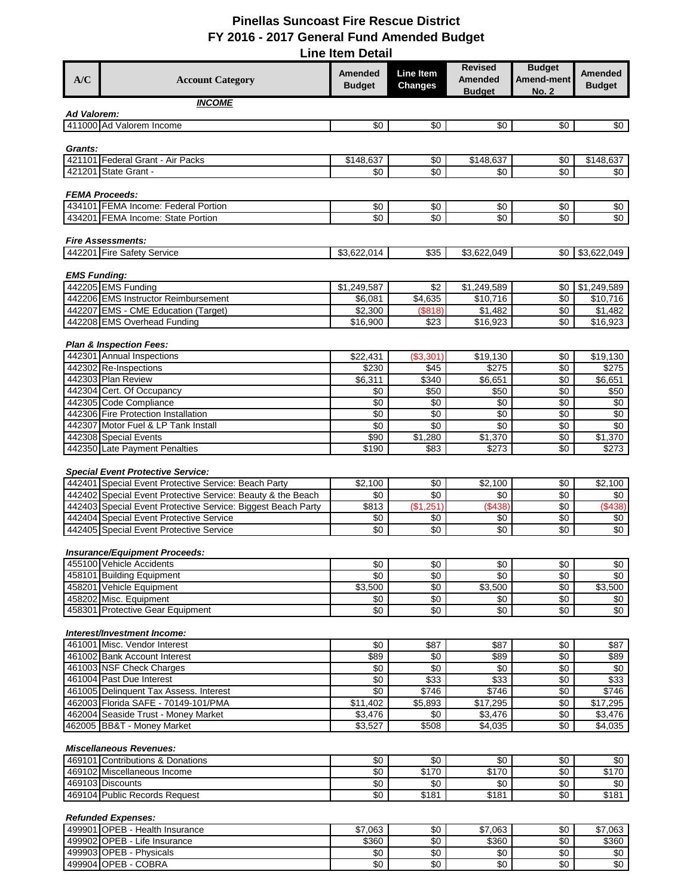| <b>Revised</b><br><b>Amended</b><br>Line Item<br>A/C<br><b>Amended</b><br><b>Account Category</b><br><b>Changes</b><br><b>Budget</b><br><b>Budget</b><br><b>INCOME</b> |                                             |                                 |
|------------------------------------------------------------------------------------------------------------------------------------------------------------------------|---------------------------------------------|---------------------------------|
|                                                                                                                                                                        | <b>Budget</b><br>Amend-ment<br><b>No. 2</b> | <b>Amended</b><br><b>Budget</b> |
|                                                                                                                                                                        |                                             |                                 |
| <b>Ad Valorem:</b>                                                                                                                                                     |                                             |                                 |
| 411000 Ad Valorem Income<br>\$0<br>\$0<br>\$0                                                                                                                          | \$0                                         | \$0                             |
| Grants:                                                                                                                                                                |                                             |                                 |
| 421101 Federal Grant - Air Packs<br>\$148,637<br>\$0<br>\$148,637                                                                                                      | \$0                                         | \$148,637                       |
| 421201 State Grant -<br>\$0<br>\$0<br>\$0                                                                                                                              | \$0                                         | \$0                             |
|                                                                                                                                                                        |                                             |                                 |
| <b>FEMA Proceeds:</b><br>434101 FEMA Income: Federal Portion<br>\$0<br>\$0<br>\$0                                                                                      | \$0                                         | $\sqrt{6}$                      |
| 434201 FEMA Income: State Portion<br>\$0<br>\$0<br>\$0                                                                                                                 | \$0                                         | \$0                             |
|                                                                                                                                                                        |                                             |                                 |
| <b>Fire Assessments:</b>                                                                                                                                               |                                             |                                 |
| 442201 Fire Safety Service<br>$\overline{$35}$<br>\$3,622,014<br>\$3,622,049                                                                                           | \$0                                         | \$3,622,049                     |
| <b>EMS Funding:</b>                                                                                                                                                    |                                             |                                 |
| 442205 EMS Funding<br>\$1,249,587<br>\$2<br>\$1,249,589                                                                                                                | \$0                                         | \$1,249,589                     |
| 442206 EMS Instructor Reimbursement<br>\$6,081<br>\$4,635<br>\$10,716                                                                                                  | \$0                                         | \$10,716                        |
| 442207 EMS - CME Education (Target)<br>\$1,482<br>\$2,300<br>(\$818)                                                                                                   | \$0                                         | \$1,482                         |
| 442208 EMS Overhead Funding<br>\$16,900<br>\$23<br>\$16,923                                                                                                            | \$0                                         | \$16,923                        |
| <b>Plan &amp; Inspection Fees:</b>                                                                                                                                     |                                             |                                 |
| 442301 Annual Inspections<br>\$22,431<br>(\$3,301<br>\$19,130                                                                                                          | \$0                                         | \$19,130                        |
| 442302 Re-Inspections<br>\$230<br>\$275<br>\$45                                                                                                                        | \$0                                         | \$275                           |
| 442303 Plan Review<br>\$6,311<br>\$340<br>\$6,651                                                                                                                      | \$0                                         | \$6,651                         |
| 442304 Cert. Of Occupancy<br>\$0<br>\$50<br>\$50<br>442305 Code Compliance<br>\$0<br>\$0<br>\$0                                                                        | $\sqrt{6}$<br>$\sqrt{6}$                    | \$50<br>\$0                     |
| 442306 Fire Protection Installation<br>\$0<br>\$0<br>\$0                                                                                                               | \$0                                         | \$0                             |
| $\overline{50}$<br>$\sqrt{6}$<br>$\overline{50}$<br>442307 Motor Fuel & LP Tank Install                                                                                | $\sqrt{6}$                                  | $\sqrt{6}$                      |
| 442308 Special Events<br>\$90<br>\$1,280<br>\$1,370                                                                                                                    | \$0                                         | \$1,370                         |
| 442350 Late Payment Penalties<br>\$190<br>\$83<br>\$273                                                                                                                | \$0                                         | \$273                           |
| <b>Special Event Protective Service:</b>                                                                                                                               |                                             |                                 |
| 442401 Special Event Protective Service: Beach Party<br>\$2,100<br>\$0<br>\$2,100                                                                                      | \$0                                         | \$2,100                         |
| 442402 Special Event Protective Service: Beauty & the Beach<br>\$0<br>\$0<br>\$0                                                                                       | \$0                                         | \$0                             |
| (\$1,251]<br>$($ \$438)<br>\$813<br>442403 Special Event Protective Service: Biggest Beach Party                                                                       | $\sqrt{6}$                                  | (\$438)                         |
| 442404 Special Event Protective Service<br>\$0<br>\$0<br>\$0                                                                                                           | \$0                                         | \$0                             |
| $\sqrt{6}$<br>\$0<br>\$0<br>442405 Special Event Protective Service                                                                                                    | \$0                                         | $\sqrt{6}$                      |
| <b>Insurance/Equipment Proceeds:</b>                                                                                                                                   |                                             |                                 |
| 455100 Vehicle Accidents<br>\$0<br>\$0                                                                                                                                 | \$0<br>\$0                                  | \$0∣                            |
| \$0<br>\$0<br>458101 Building Equipment<br>\$0                                                                                                                         | \$0                                         | \$0                             |
| \$0<br>458201 Vehicle Equipment<br>\$3,500<br>\$3,500                                                                                                                  | \$0                                         | \$3,500                         |
| 458202 Misc. Equipment<br>\$0<br>\$0<br>458301 Protective Gear Equipment                                                                                               | \$0<br>\$0                                  | \$0                             |
| \$0<br>\$0<br>\$0                                                                                                                                                      | \$0                                         | \$0                             |
| Interest/Investment Income:                                                                                                                                            |                                             |                                 |
|                                                                                                                                                                        | \$0                                         | \$87                            |
| 461001 Misc. Vendor Interest<br>\$0<br>\$87<br>\$87                                                                                                                    | $\sqrt{6}$                                  |                                 |
| \$89<br>\$0<br>\$89<br>461002 Bank Account Interest                                                                                                                    |                                             | \$89                            |
| 461003 NSF Check Charges<br>\$0<br>\$0<br>\$0                                                                                                                          | \$0                                         | \$0                             |
| 461004 Past Due Interest<br>\$0<br>\$33<br>\$33                                                                                                                        | $\sqrt{6}$                                  | \$33                            |
| 461005 Delinquent Tax Assess. Interest<br>\$0<br>\$746<br>\$746                                                                                                        | $\sqrt[6]{3}$                               | \$746                           |
| 462003 Florida SAFE - 70149-101/PMA<br>$\overline{$17,295}$<br>\$11,402<br>\$5,893<br>\$0                                                                              | \$0                                         | \$17,295                        |
| 462004 Seaside Trust - Money Market<br>\$3,476<br>\$3,476<br>\$3,527<br>\$508<br>\$4,035<br>462005 BB&T - Money Market                                                 | \$0<br>\$0                                  | \$3,476<br>$\overline{$4,035}$  |
|                                                                                                                                                                        |                                             |                                 |
| <b>Miscellaneous Revenues:</b>                                                                                                                                         |                                             |                                 |
| 469101 Contributions & Donations<br>\$0<br>\$0<br>\$0                                                                                                                  | \$0                                         | \$0                             |
| $\sqrt{6}$<br>\$170<br>\$170<br>469102 Miscellaneous Income                                                                                                            | $\sqrt{6}$                                  | \$170                           |
| 469103 Discounts<br>\$0<br>\$0<br>\$0<br>469104 Public Records Request<br>\$0<br>\$181<br>\$181                                                                        | \$0<br>\$0                                  | \$0<br>\$181                    |
|                                                                                                                                                                        |                                             |                                 |
| <b>Refunded Expenses:</b>                                                                                                                                              |                                             |                                 |
| 499901 OPEB - Health Insurance<br>\$7,063<br>\$0<br>\$7,063<br>499902 OPEB - Life Insurance<br>\$360<br>\$0<br>\$360                                                   | \$0<br>\$0                                  | \$7,063<br>\$360                |

OPEB - COBRA \$0 \$0 \$0 \$0 \$0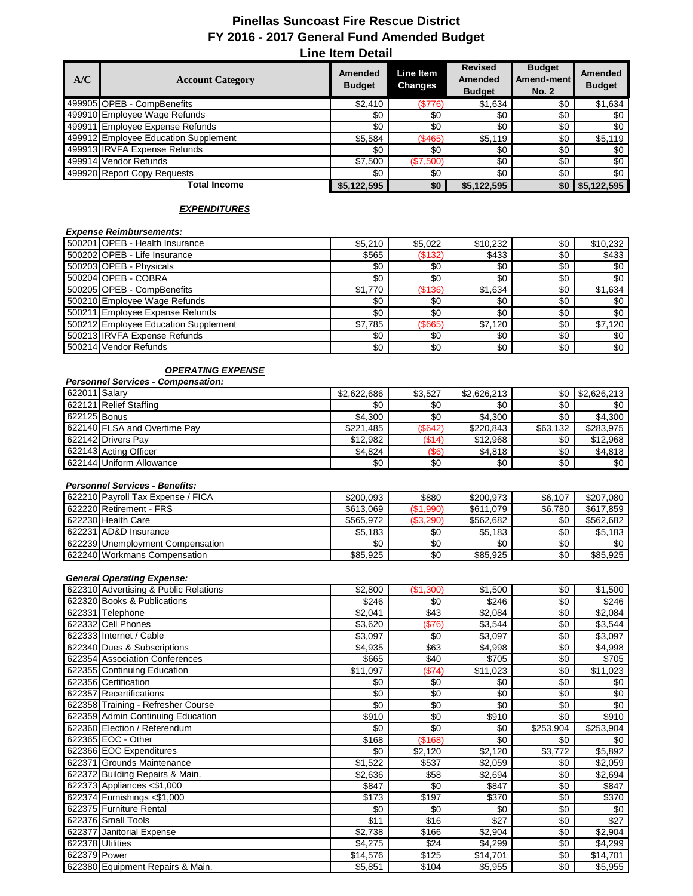| A/C | <b>Account Category</b>              | Amended<br><b>Budget</b> | Line Item<br><b>Changes</b> | <b>Revised</b><br><b>Amended</b><br><b>Budget</b> | <b>Budget</b><br>Amend-ment<br><b>No. 2</b> | <b>Amended</b><br><b>Budget</b> |
|-----|--------------------------------------|--------------------------|-----------------------------|---------------------------------------------------|---------------------------------------------|---------------------------------|
|     | 499905 OPEB - CompBenefits           | \$2,410                  | (\$776)                     | \$1,634                                           | \$0                                         | \$1,634                         |
|     | 499910 Employee Wage Refunds         | \$0                      | \$0                         | \$0                                               | \$0                                         | \$0                             |
|     | 499911 Employee Expense Refunds      | \$0                      | \$0                         | \$0                                               | \$0                                         | \$0                             |
|     | 499912 Employee Education Supplement | \$5,584                  | (\$465)                     | \$5,119                                           | \$0                                         | \$5,119                         |
|     | 499913 IRVFA Expense Refunds         | \$0                      | \$0                         | \$0                                               | \$0                                         | \$0                             |
|     | 499914 Vendor Refunds                | \$7.500                  | (\$7,500)                   | \$0                                               | \$0                                         | \$0                             |
|     | 499920 Report Copy Requests          | \$0                      | \$0                         | \$0                                               | \$0                                         | \$0                             |
|     | <b>Total Income</b>                  | \$5,122,595              | \$0                         | \$5,122,595                                       |                                             | $$0$ \$5,122,595                |

#### *EXPENDITURES*

# *Expense Reimbursements:*

| 15002011OPEB - Health Insurance      | \$5,210 | \$5.022    | \$10.232 | \$0 | \$10.232 |
|--------------------------------------|---------|------------|----------|-----|----------|
| 500202 OPEB - Life Insurance         | \$565   | (\$132)    | \$433    | \$0 | \$433    |
| 500203 OPEB - Physicals              | \$0     | \$0        | \$0      | \$0 | \$0      |
| 500204 OPEB - COBRA                  | \$0     | \$0        | \$0      | \$0 | \$0      |
| 500205 OPEB - CompBenefits           | \$1.770 | (\$136)    | \$1.634  | \$0 | \$1,634  |
| 500210 Employee Wage Refunds         | \$0     | \$0        | \$0      | \$0 | \$0      |
| 500211 Employee Expense Refunds      | \$0     | \$0        | \$0      | \$0 | \$0      |
| 500212 Employee Education Supplement | \$7.785 | $($ \$665) | \$7.120  | \$0 | \$7.120  |
| 500213 IRVFA Expense Refunds         | \$0     | \$0        | \$0      | \$0 | \$0      |
| 500214 Vendor Refunds                | \$0     | \$0        | \$0      | \$0 | \$0      |

#### *OPERATING EXPENSE*

#### *Personnel Services - Compensation:*

| 622011 Salary |                              | \$2,622,686      | \$3.527   | \$2,626,213 |          | $$0 \mid $2.626.213]$ |
|---------------|------------------------------|------------------|-----------|-------------|----------|-----------------------|
|               | 622121 Relief Staffing       | \$0 <sub>1</sub> | \$0       | \$0         | \$0      | \$0 l                 |
| 622125 Bonus  |                              | \$4.300          | \$0       | \$4.300     | \$0      | \$4,300               |
|               | 622140 FLSA and Overtime Pay | \$221.485        | (S642)    | \$220.843   | \$63.132 | \$283.975             |
|               | 622142 Drivers Pav           | \$12.982         | $($ \$14) | \$12,968    | \$0      | \$12,968              |
|               | 622143 Acting Officer        | \$4,824          | $($ \$6)  | \$4,818     | \$0      | \$4,818               |
|               | 622144 Uniform Allowance     | \$0              | \$0       | \$0         | \$0      | \$0 <sub>1</sub>      |

#### *Personnel Services - Benefits:*

| 622210 Payroll Tax Expense / FICA | \$200.093 | \$880            | \$200.973 | \$6,107 | \$207.080 |
|-----------------------------------|-----------|------------------|-----------|---------|-----------|
| 622220 Retirement - FRS           | \$613,069 | (S1.990)         | \$611.079 | \$6.780 | \$617,859 |
| 622230 Health Care                | \$565.972 | (S3.290)         | \$562.682 | \$0     | \$562,682 |
| 622231 AD&D Insurance             | \$5.183   | \$0              | \$5,183   | \$0     | \$5,183   |
| 622239 Unemployment Compensation  | \$0       | \$0              | \$0       | \$0     | \$0       |
| 622240 Workmans Compensation      | \$85.925  | \$0 <sub>1</sub> | \$85,925  | \$0     | \$85.925  |

#### *General Operating Expense:*

|                  | 622310 Advertising & Public Relations | \$2,800  | (\$1,300) | \$1,500  | \$0       | \$1,500   |
|------------------|---------------------------------------|----------|-----------|----------|-----------|-----------|
|                  | 622320 Books & Publications           | \$246    | \$0       | \$246    | \$0       | \$246     |
|                  | 622331 Telephone                      | \$2,041  | \$43      | \$2,084  | \$0       | \$2,084   |
|                  | 622332 Cell Phones                    | \$3,620  | (\$76)    | \$3,544  | \$0       | \$3,544   |
|                  | 622333 Internet / Cable               | \$3,097  | \$0       | \$3,097  | \$0       | \$3,097   |
|                  | 622340 Dues & Subscriptions           | \$4,935  | \$63      | \$4,998  | \$0       | \$4,998   |
|                  | 622354 Association Conferences        | \$665    | \$40      | \$705    | \$0       | \$705     |
|                  | 622355 Continuing Education           | \$11,097 | (\$74)    | \$11,023 | \$0       | \$11,023  |
|                  | 622356 Certification                  | \$0      | \$0       | \$0      | \$0       | \$0       |
|                  | 622357 Recertifications               | \$0      | \$0       | \$0      | \$0       | \$0       |
|                  | 622358 Training - Refresher Course    | \$0      | \$0       | \$0      | \$0       | \$0       |
|                  | 622359 Admin Continuing Education     | \$910    | \$0       | \$910    | \$0       | \$910     |
|                  | 622360 Election / Referendum          | \$0      | \$0       | \$0      | \$253,904 | \$253,904 |
|                  | 622365 EOC - Other                    | \$168    | (\$168)   | \$0      | \$0       | \$0       |
|                  | 622366 EOC Expenditures               | \$0      | \$2,120   | \$2,120  | \$3,772   | \$5,892   |
| 622371           | Grounds Maintenance                   | \$1,522  | \$537     | \$2,059  | \$0       | \$2,059   |
|                  | 622372 Building Repairs & Main.       | \$2,636  | \$58      | \$2,694  | \$0       | \$2,694   |
|                  | 622373 Appliances <\$1,000            | \$847    | \$0       | \$847    | \$0       | \$847     |
|                  | 622374 Furnishings <\$1,000           | \$173    | \$197     | \$370    | \$0       | \$370     |
|                  | 622375 Furniture Rental               | \$0      | \$0       | \$0      | \$0       | \$0       |
|                  | 622376 Small Tools                    | \$11     | \$16      | \$27     | \$0       | \$27      |
| 622377           | Janitorial Expense                    | \$2,738  | \$166     | \$2,904  | \$0       | \$2,904   |
| 622378 Utilities |                                       | \$4,275  | \$24      | \$4,299  | \$0       | \$4,299   |
| 622379 Power     |                                       | \$14,576 | \$125     | \$14,701 | \$0       | \$14,701  |
|                  | 622380 Equipment Repairs & Main.      | \$5,851  | \$104     | \$5,955  | \$0       | \$5,955   |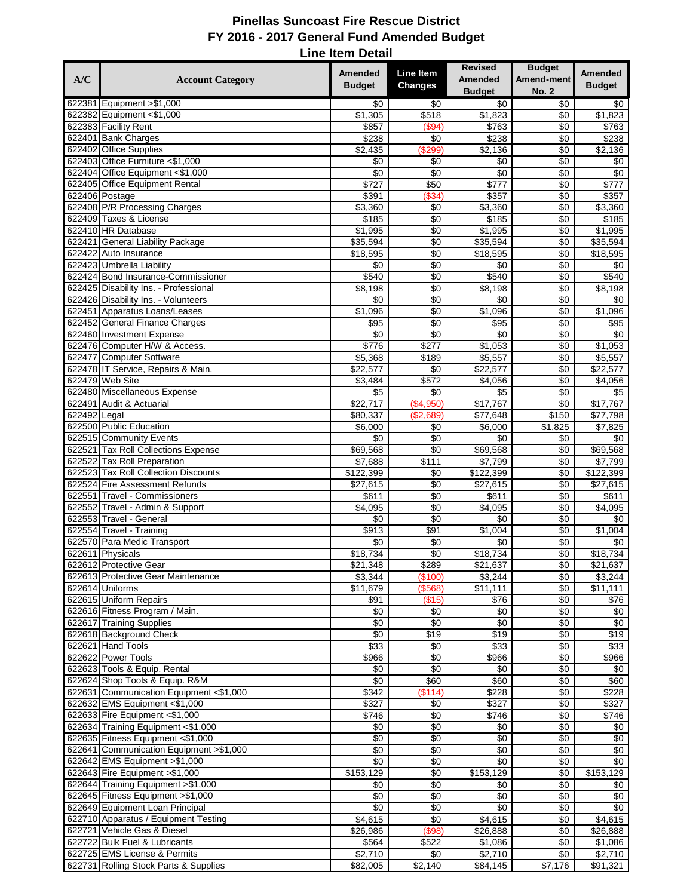|              |                                                                            |                                 | <b>Line Item</b>    | <b>Revised</b>                 | <b>Budget</b>       | <b>Amended</b>       |
|--------------|----------------------------------------------------------------------------|---------------------------------|---------------------|--------------------------------|---------------------|----------------------|
| A/C          | <b>Account Category</b>                                                    | <b>Amended</b><br><b>Budget</b> | <b>Changes</b>      | <b>Amended</b>                 | Amend-ment          | <b>Budget</b>        |
|              | 622381 Equipment > \$1,000                                                 | \$0                             | \$0                 | <b>Budget</b><br>\$0           | <b>No. 2</b><br>\$0 | \$0                  |
|              | 622382 Equipment <\$1,000                                                  | \$1,305                         | \$518               | \$1,823                        | \$0                 | \$1,823              |
|              | 622383 Facility Rent                                                       | \$857                           | (\$94)              | \$763                          | \$0                 | \$763                |
|              | 622401 Bank Charges                                                        | $\sqrt{$238}$                   | \$0                 | \$238                          | \$0                 | \$238                |
|              | 622402 Office Supplies                                                     | \$2,435                         | \$299               | \$2,136                        | \$0                 | \$2,136              |
|              | 622403 Office Furniture <\$1,000<br>622404 Office Equipment <\$1,000       | \$0<br>\$0                      | \$0<br>\$0          | \$0<br>\$0                     | \$0<br>\$0          | \$0<br>\$0           |
|              | 622405 Office Equipment Rental                                             | $\sqrt{$727}$                   | \$50                | \$777                          | $\sqrt{6}$          | $\sqrt{$777}$        |
|              | 622406 Postage                                                             | \$391                           | (S34)               | \$357                          | \$0                 | \$357                |
|              | 622408 P/R Processing Charges                                              | \$3,360                         | \$0                 | $\overline{$3,360}$            | \$0                 | \$3,360              |
|              | 622409 Taxes & License                                                     | \$185                           | $\sqrt{6}$          | \$185                          | $\sqrt{6}$          | \$185                |
|              | 622410 HR Database                                                         | \$1,995                         | \$0                 | \$1,995                        | \$0                 | \$1,995              |
|              | 622421 General Liability Package<br>622422 Auto Insurance                  | \$35,594<br>\$18,595            | \$0<br>\$0          | \$35,594<br>\$18,595           | \$0<br>\$0          | \$35,594<br>\$18,595 |
|              | 622423 Umbrella Liability                                                  | \$0                             | \$0                 | \$0                            | \$0                 | \$0                  |
|              | 622424 Bond Insurance-Commissioner                                         | \$540                           | \$0                 | \$540                          | \$0                 | \$540                |
|              | 622425 Disability Ins. - Professional                                      | \$8,198                         | \$0                 | \$8,198                        | \$0                 | \$8,198              |
|              | 622426 Disability Ins. - Volunteers                                        | $\sqrt{6}$                      | \$0                 | \$0                            | $\sqrt{6}$          | \$0                  |
|              | 622451 Apparatus Loans/Leases                                              | \$1,096                         | \$0                 | \$1,096                        | \$0                 | \$1,096              |
|              | 622452 General Finance Charges                                             | \$95                            | \$0                 | \$95                           | \$0                 | \$95                 |
|              | 622460 Investment Expense<br>622476 Computer H/W & Access.                 | \$0<br>\$776                    | $\sqrt{6}$<br>\$277 | \$0<br>\$1,053                 | $\sqrt{6}$<br>\$0   | \$0<br>\$1,053       |
|              | 622477 Computer Software                                                   | \$5,368                         | \$189               | \$5,557                        | \$0                 | \$5,557              |
|              | 622478 IT Service, Repairs & Main.                                         | \$22,577                        | \$0                 | \$22,577                       | \$0                 | \$22,577             |
|              | 622479 Web Site                                                            | \$3,484                         | \$572               | \$4,056                        | \$0                 | \$4,056              |
|              | 622480 Miscellaneous Expense                                               | \$5                             | \$0                 | \$5                            | \$0                 | \$5                  |
|              | 622491 Audit & Actuarial                                                   | \$22,717                        | (\$4,950)           | \$17,767                       | \$0                 | \$17,767             |
| 622492 Legal | 622500 Public Education                                                    | \$80,337<br>\$6,000             | (\$2,689)<br>\$0    | \$77,648<br>\$6,000            | \$150<br>\$1,825    | \$77,798<br>\$7,825  |
|              | 622515 Community Events                                                    | \$0                             | \$0                 | \$0                            | \$0                 | \$0                  |
|              | 622521 Tax Roll Collections Expense                                        | \$69,568                        | $\sqrt{6}$          | \$69,568                       | \$0                 | \$69,568             |
|              | 622522 Tax Roll Preparation                                                | \$7,688                         | \$111               | \$7,799                        | \$0                 | \$7,799              |
|              | 622523 Tax Roll Collection Discounts                                       | \$122,399                       | \$0                 | \$122,399                      | \$0                 | \$122,399            |
|              | 622524 Fire Assessment Refunds                                             | \$27,615                        | \$0                 | \$27,615                       | \$0                 | \$27,615             |
|              | 622551 Travel - Commissioners                                              | \$611<br>\$4,095                | \$0<br>\$0          | \$611<br>$\frac{1}{1}$ \$4,095 | \$0                 | \$611<br>\$4,095     |
|              | 622552 Travel - Admin & Support<br>622553 Travel - General                 | \$0                             | \$0                 | \$0                            | \$0<br>\$0          | \$0                  |
|              | 622554 Travel - Training                                                   | \$913                           | $\overline{$91}$    | \$1,004                        | $\sqrt{6}$          | \$1,004              |
|              | 622570 Para Medic Transport                                                | \$0                             | \$0                 | \$0                            | \$0                 | \$0                  |
|              | 622611 Physicals                                                           | \$18,734                        | \$0                 | \$18,734                       | \$0                 | \$18,734             |
|              | 622612 Protective Gear                                                     | \$21,348                        | \$289               | \$21,637                       | \$0                 | \$21,637             |
|              | 622613 Protective Gear Maintenance                                         | \$3,344                         | (\$100)             | \$3,244                        | \$0                 | \$3,244              |
|              | 622614 Uniforms<br>622615 Uniform Repairs                                  | \$11,679<br>\$91                | (\$568)<br>(\$15)   | \$11,111<br>\$76               | \$0<br>\$0          | \$11,111<br>\$76     |
|              | 622616 Fitness Program / Main.                                             | \$0                             | \$0                 | \$0                            | \$0                 | \$0                  |
|              | 622617 Training Supplies                                                   | \$0                             | \$0                 | \$0                            | \$0                 | \$0                  |
|              | 622618 Background Check                                                    | \$0                             | \$19                | \$19                           | \$0                 | \$19                 |
|              | 622621 Hand Tools                                                          | \$33                            | \$0                 | \$33                           | \$0                 | \$33                 |
|              | 622622 Power Tools                                                         | \$966                           | \$0                 | \$966                          | \$0                 | \$966                |
|              | 622623 Tools & Equip. Rental<br>622624 Shop Tools & Equip. R&M             | \$0<br>\$0                      | \$0<br>\$60         | \$0<br>\$60                    | \$0<br>\$0          | \$0<br>\$60          |
|              | 622631 Communication Equipment <\$1,000                                    | \$342                           | (\$114)             | \$228                          | \$0                 | \$228                |
|              | 622632 EMS Equipment <\$1,000                                              | \$327                           | \$0                 | \$327                          | \$0                 | \$327                |
|              | 622633 Fire Equipment <\$1,000                                             | \$746                           | \$0                 | \$746                          | \$0                 | \$746                |
|              | 622634 Training Equipment <\$1,000                                         | \$0                             | \$0                 | \$0                            | \$0                 | \$0                  |
|              | 622635 Fitness Equipment <\$1,000                                          | \$0                             | \$0                 | \$0                            | \$0                 | \$0                  |
|              | 622641 Communication Equipment > \$1,000<br>622642 EMS Equipment > \$1,000 | \$0<br>\$0                      | \$0<br>\$0          | \$0<br>\$0                     | \$0                 | \$0<br>\$0           |
|              | 622643 Fire Equipment > \$1,000                                            | \$153,129                       | \$0                 | \$153,129                      | \$0<br>\$0          | \$153,129            |
|              | 622644 Training Equipment > \$1,000                                        | \$0                             | \$0                 | \$0                            | \$0                 | \$0                  |
|              | 622645 Fitness Equipment > \$1,000                                         | \$0                             | \$0                 | $\sqrt{6}$                     | \$0                 | $\sqrt{6}$           |
|              | 622649 Equipment Loan Principal                                            | \$0                             | \$0                 | \$0                            | \$0                 | \$0                  |
|              | 622710 Apparatus / Equipment Testing                                       | \$4,615                         | \$0                 | \$4,615                        | \$0                 | \$4,615              |
|              | 622721 Vehicle Gas & Diesel                                                | \$26,986                        | (\$98)              | \$26,888                       | \$0                 | \$26,888             |
|              | 622722 Bulk Fuel & Lubricants<br>622725 EMS License & Permits              | \$564<br>\$2,710                | \$522<br>\$0        | \$1,086<br>\$2,710             | \$0<br>\$0          | \$1,086<br>\$2,710   |
|              | 622731 Rolling Stock Parts & Supplies                                      | \$82,005                        | \$2,140             | \$84,145                       | \$7,176             | \$91,321             |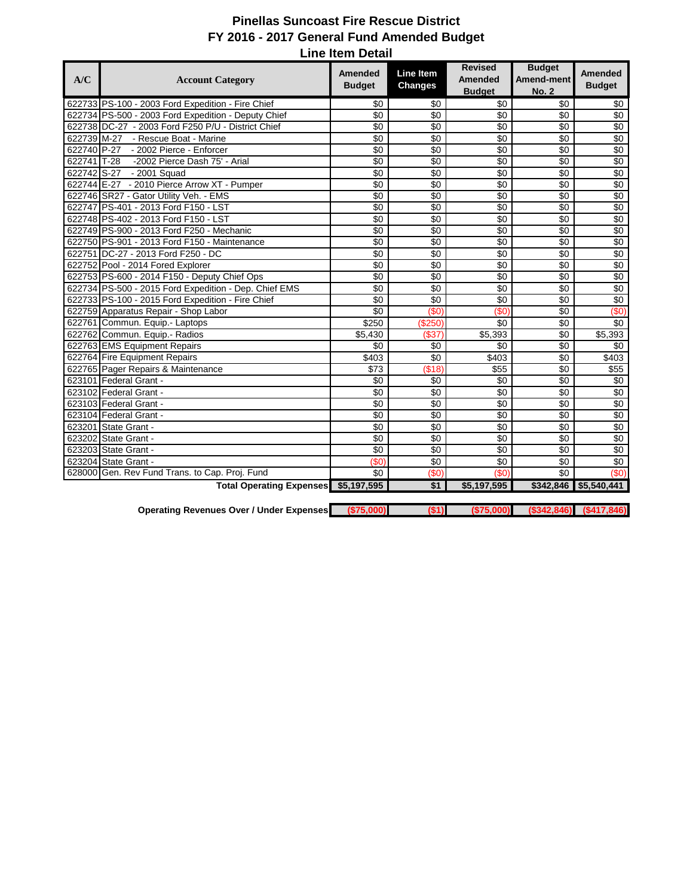| A/C         | <b>Account Category</b>                               | Amended         | Line Item       | <b>Revised</b><br>Amended | <b>Budget</b><br><b>Amend-ment</b> | <b>Amended</b>  |
|-------------|-------------------------------------------------------|-----------------|-----------------|---------------------------|------------------------------------|-----------------|
|             |                                                       | <b>Budget</b>   | <b>Changes</b>  | <b>Budget</b>             | <b>No. 2</b>                       | <b>Budget</b>   |
|             | 622733 PS-100 - 2003 Ford Expedition - Fire Chief     | \$0             | \$0             | \$0                       | \$0                                | \$0             |
|             | 622734 PS-500 - 2003 Ford Expedition - Deputy Chief   | \$0             | \$0             | \$0                       | \$0                                | $\sqrt{6}$      |
|             | 622738 DC-27 - 2003 Ford F250 P/U - District Chief    | \$0             | \$0             | \$0                       | \$0                                | \$0             |
| 622739 M-27 | - Rescue Boat - Marine                                | \$0             | \$0             | \$0                       | \$0                                | \$0             |
| 622740 P-27 | - 2002 Pierce - Enforcer                              | \$0             | \$0             | \$0                       | \$0                                | \$0             |
| 622741 T-28 | -2002 Pierce Dash 75' - Arial                         | $\overline{30}$ | \$0             | $\overline{50}$           | $\overline{50}$                    | $\overline{60}$ |
| 622742 S-27 | - 2001 Squad                                          | $\overline{30}$ | $\overline{50}$ | $\overline{50}$           | $\overline{50}$                    | $\overline{60}$ |
|             | 622744 E-27 - 2010 Pierce Arrow XT - Pumper           | \$0             | \$0             | \$0                       | \$0                                | \$0             |
|             | 622746 SR27 - Gator Utility Veh. - EMS                | \$0             | \$0             | \$0                       | \$0                                | $\sqrt{6}$      |
|             | 622747 PS-401 - 2013 Ford F150 - LST                  | \$0             | \$0             | \$0                       | \$0                                | $\sqrt{6}$      |
|             | 622748 PS-402 - 2013 Ford F150 - LST                  | \$0             | \$0             | \$0                       | \$0                                | \$0             |
|             | 622749 PS-900 - 2013 Ford F250 - Mechanic             | $\sqrt{6}$      | \$0             | $\sqrt{6}$                | \$0                                | \$0             |
|             | 622750 PS-901 - 2013 Ford F150 - Maintenance          | \$0             | \$0             | \$0                       | \$0                                | $\sqrt{6}$      |
| 622751      | DC-27 - 2013 Ford F250 - DC                           | \$0             | \$0             | \$0                       | \$0                                | \$0             |
|             | 622752 Pool - 2014 Fored Explorer                     | \$0             | \$0             | \$0                       | \$0                                | \$0             |
|             | 622753 PS-600 - 2014 F150 - Deputy Chief Ops          | \$0             | \$0             | $\sqrt{6}$                | \$0                                | \$0             |
|             | 622734 PS-500 - 2015 Ford Expedition - Dep. Chief EMS | \$0             | \$0             | \$0                       | \$0                                | \$0             |
|             | 622733 PS-100 - 2015 Ford Expedition - Fire Chief     | \$0             | \$0             | \$0                       | \$0                                | $\sqrt{6}$      |
|             | 622759 Apparatus Repair - Shop Labor                  | $\overline{50}$ | (50)            | (SO)                      | \$0                                | (50)            |
|             | 622761 Commun. Equip.- Laptops                        | \$250           | (\$250)         | \$0                       | \$0                                | \$0             |
|             | 622762 Commun. Equip.- Radios                         | \$5,430         | (\$37)          | \$5,393                   | \$0                                | \$5,393         |
|             | 622763 EMS Equipment Repairs                          | \$0             | \$0             | \$0                       | \$0                                | \$0             |
|             | 622764 Fire Equipment Repairs                         | \$403           | \$0             | \$403                     | \$0                                | \$403           |
|             | 622765 Pager Repairs & Maintenance                    | \$73            | (\$18)          | \$55                      | \$0                                | \$55            |
| 623101      | Federal Grant -                                       | \$0             | \$0             | \$0                       | \$0                                | \$0             |
|             | 623102 Federal Grant -                                | $\overline{50}$ | $\overline{50}$ | \$0                       | $\overline{50}$                    | $\overline{60}$ |
|             | 623103 Federal Grant -                                | $\overline{50}$ | \$0             | $\overline{50}$           | \$0                                | $\overline{60}$ |
|             | 623104 Federal Grant -                                | \$0             | \$0             | \$0                       | \$0                                | \$0             |
|             | 623201 State Grant -                                  | \$0             | \$0             | \$0                       | \$0                                | \$0             |
|             | 623202 State Grant -                                  | \$0             | \$0             | \$0                       | \$0                                | $\sqrt{6}$      |
|             | 623203 State Grant -                                  | $\overline{30}$ | $\overline{50}$ | $\overline{50}$           | $\sqrt{6}$                         | $\overline{60}$ |
|             | 623204 State Grant -                                  | (50)            | $\overline{50}$ | $\overline{30}$           | \$0                                | $\overline{60}$ |
|             | 628000 Gen. Rev Fund Trans. to Cap. Proj. Fund        | \$0             | (50)            | (SO)                      | \$0                                | (SO)            |
|             | Total Operating Expenses \$5,197,595                  |                 | \$1             | \$5,197,595               | \$342,846                          | \$5,540,441     |

**Operating Revenues Over / Under Expenses (\$75,000) (\$1) (\$75,000) (\$342,846) (\$417,846)**